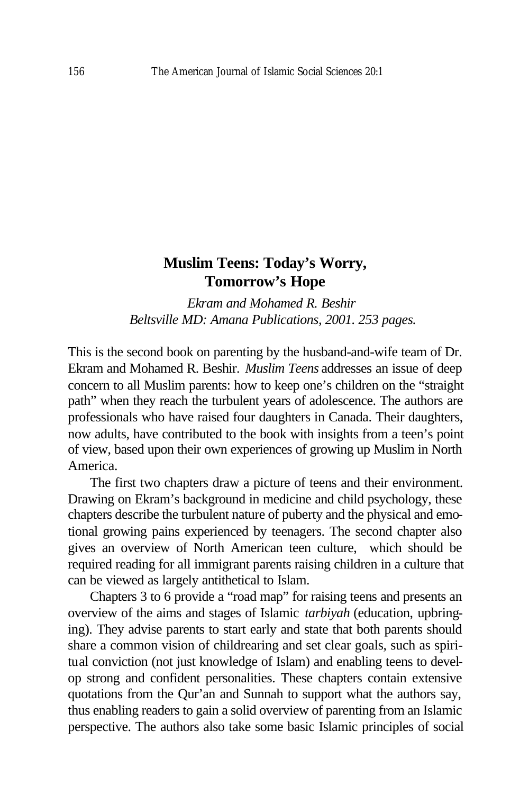## **Muslim Teens: Today's Worry, Tomorrow's Hope**

*Ekram and Mohamed R. Beshir Beltsville MD: Amana Publications, 2001. 253 pages.*

This is the second book on parenting by the husband-and-wife team of Dr. Ekram and Mohamed R. Beshir. *Muslim Teens* addresses an issue of deep concern to all Muslim parents: how to keep one's children on the "straight path" when they reach the turbulent years of adolescence. The authors are professionals who have raised four daughters in Canada. Their daughters, now adults, have contributed to the book with insights from a teen's point of view, based upon their own experiences of growing up Muslim in North America.

The first two chapters draw a picture of teens and their environment. Drawing on Ekram's background in medicine and child psychology, these chapters describe the turbulent nature of puberty and the physical and emotional growing pains experienced by teenagers. The second chapter also gives an overview of North American teen culture, which should be required reading for all immigrant parents raising children in a culture that can be viewed as largely antithetical to Islam.

Chapters 3 to 6 provide a "road map" for raising teens and presents an overview of the aims and stages of Islamic *tarbiyah* (education, upbringing). They advise parents to start early and state that both parents should share a common vision of childrearing and set clear goals, such as spiritual conviction (not just knowledge of Islam) and enabling teens to develop strong and confident personalities. These chapters contain extensive quotations from the Qur'an and Sunnah to support what the authors say, thus enabling readers to gain a solid overview of parenting from an Islamic perspective. The authors also take some basic Islamic principles of social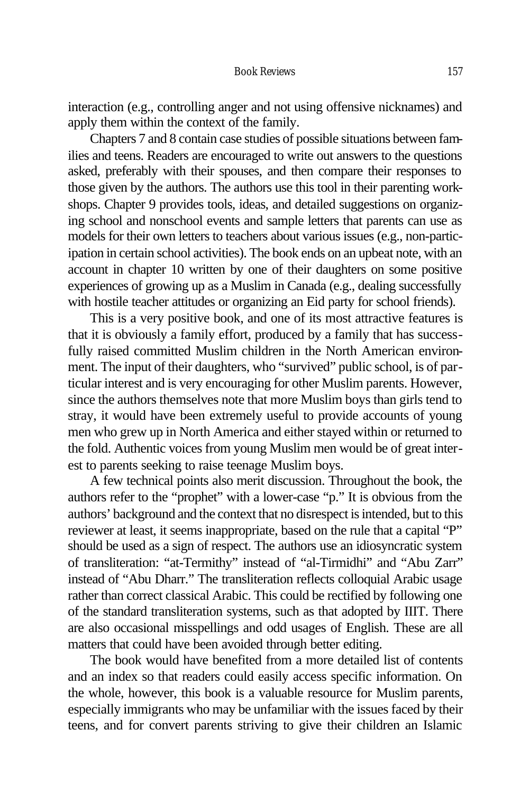interaction (e.g., controlling anger and not using offensive nicknames) and apply them within the context of the family.

Chapters 7 and 8 contain case studies of possible situations between families and teens. Readers are encouraged to write out answers to the questions asked, preferably with their spouses, and then compare their responses to those given by the authors. The authors use this tool in their parenting workshops. Chapter 9 provides tools, ideas, and detailed suggestions on organizing school and nonschool events and sample letters that parents can use as models for their own letters to teachers about various issues (e.g., non-participation in certain school activities). The book ends on an upbeat note, with an account in chapter 10 written by one of their daughters on some positive experiences of growing up as a Muslim in Canada (e.g., dealing successfully with hostile teacher attitudes or organizing an Eid party for school friends).

This is a very positive book, and one of its most attractive features is that it is obviously a family effort, produced by a family that has successfully raised committed Muslim children in the North American environment. The input of their daughters, who "survived" public school, is of particular interest and is very encouraging for other Muslim parents. However, since the authors themselves note that more Muslim boys than girls tend to stray, it would have been extremely useful to provide accounts of young men who grew up in North America and either stayed within or returned to the fold. Authentic voices from young Muslim men would be of great interest to parents seeking to raise teenage Muslim boys.

A few technical points also merit discussion. Throughout the book, the authors refer to the "prophet" with a lower-case "p." It is obvious from the authors' background and the context that no disrespect is intended, but to this reviewer at least, it seems inappropriate, based on the rule that a capital "P" should be used as a sign of respect. The authors use an idiosyncratic system of transliteration: "at-Termithy" instead of "al-Tirmidhi" and "Abu Zarr" instead of "Abu Dharr." The transliteration reflects colloquial Arabic usage rather than correct classical Arabic. This could be rectified by following one of the standard transliteration systems, such as that adopted by IIIT. There are also occasional misspellings and odd usages of English. These are all matters that could have been avoided through better editing.

The book would have benefited from a more detailed list of contents and an index so that readers could easily access specific information. On the whole, however, this book is a valuable resource for Muslim parents, especially immigrants who may be unfamiliar with the issues faced by their teens, and for convert parents striving to give their children an Islamic